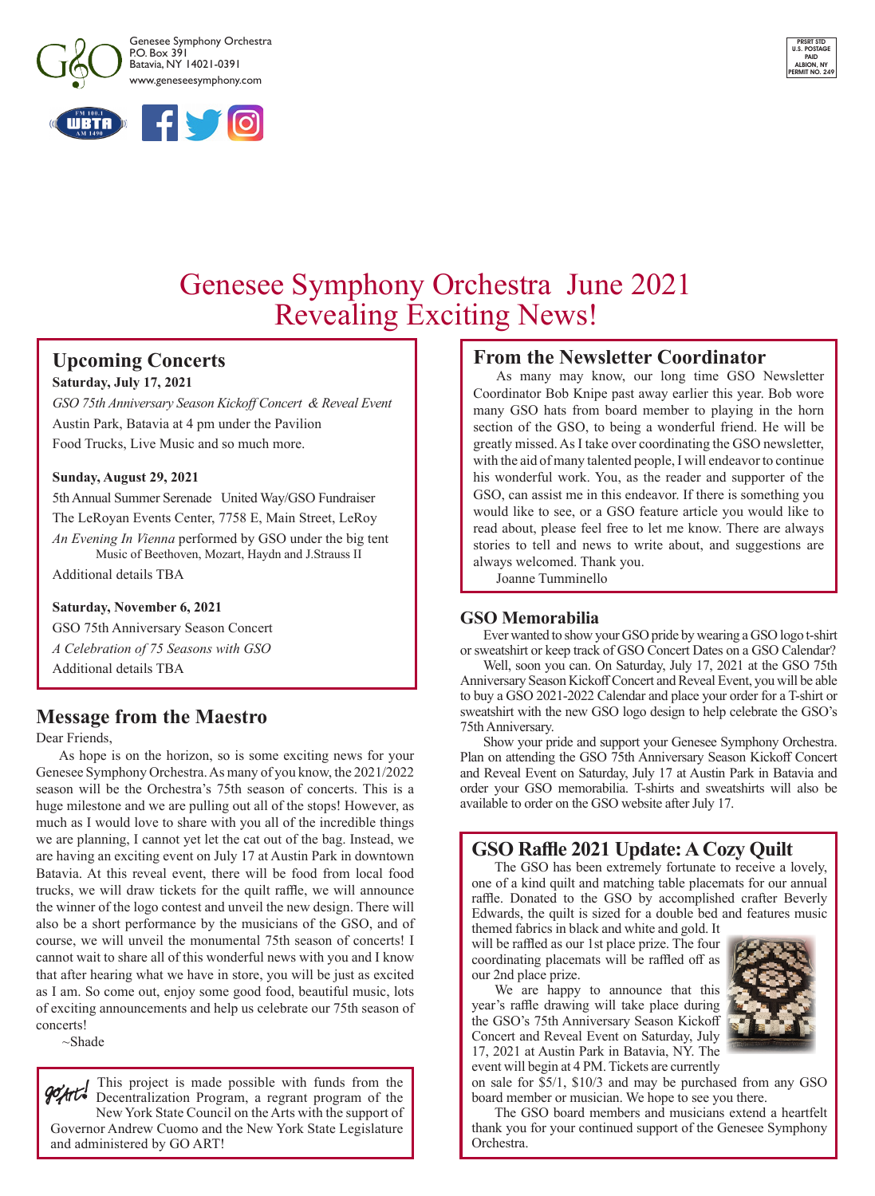



# Genesee Symphony Orchestra June 2021 Revealing Exciting News!

## **Upcoming Concerts**

#### **Saturday, July 17, 2021**

*GSO 75th Anniversary Season Kickoff Concert & Reveal Event* Austin Park, Batavia at 4 pm under the Pavilion Food Trucks, Live Music and so much more.

#### **Sunday, August 29, 2021**

5th Annual Summer Serenade United Way/GSO Fundraiser The LeRoyan Events Center, 7758 E, Main Street, LeRoy *An Evening In Vienna* performed by GSO under the big tent Music of Beethoven, Mozart, Haydn and J.Strauss II Additional details TBA

#### **Saturday, November 6, 2021**

GSO 75th Anniversary Season Concert

*A Celebration of 75 Seasons with GSO*

Additional details TBA

## **Message from the Maestro**

Dear Friends,

As hope is on the horizon, so is some exciting news for your Genesee Symphony Orchestra. As many of you know, the 2021/2022 season will be the Orchestra's 75th season of concerts. This is a huge milestone and we are pulling out all of the stops! However, as much as I would love to share with you all of the incredible things we are planning, I cannot yet let the cat out of the bag. Instead, we are having an exciting event on July 17 at Austin Park in downtown Batavia. At this reveal event, there will be food from local food trucks, we will draw tickets for the quilt raffle, we will announce the winner of the logo contest and unveil the new design. There will also be a short performance by the musicians of the GSO, and of course, we will unveil the monumental 75th season of concerts! I cannot wait to share all of this wonderful news with you and I know that after hearing what we have in store, you will be just as excited as I am. So come out, enjoy some good food, beautiful music, lots of exciting announcements and help us celebrate our 75th season of concerts!

~Shade

This project is made possible with funds from the gont Decentralization Program, a regrant program of the New York State Council on the Arts with the support of Governor Andrew Cuomo and the New York State Legislature and administered by GO ART!

## **From the Newsletter Coordinator**

As many may know, our long time GSO Newsletter Coordinator Bob Knipe past away earlier this year. Bob wore many GSO hats from board member to playing in the horn section of the GSO, to being a wonderful friend. He will be greatly missed. As I take over coordinating the GSO newsletter, with the aid of many talented people, I will endeavor to continue his wonderful work. You, as the reader and supporter of the GSO, can assist me in this endeavor. If there is something you would like to see, or a GSO feature article you would like to read about, please feel free to let me know. There are always stories to tell and news to write about, and suggestions are always welcomed. Thank you.

Joanne Tumminello

## **GSO Memorabilia**

Ever wanted to show your GSO pride by wearing a GSO logo t-shirt or sweatshirt or keep track of GSO Concert Dates on a GSO Calendar?

Well, soon you can. On Saturday, July 17, 2021 at the GSO 75th Anniversary Season Kickoff Concert and Reveal Event, you will be able to buy a GSO 2021-2022 Calendar and place your order for a T-shirt or sweatshirt with the new GSO logo design to help celebrate the GSO's 75th Anniversary.

Show your pride and support your Genesee Symphony Orchestra. Plan on attending the GSO 75th Anniversary Season Kickoff Concert and Reveal Event on Saturday, July 17 at Austin Park in Batavia and order your GSO memorabilia. T-shirts and sweatshirts will also be available to order on the GSO website after July 17.

## **GSO Raffle 2021 Update: A Cozy Quilt**

The GSO has been extremely fortunate to receive a lovely, one of a kind quilt and matching table placemats for our annual raffle. Donated to the GSO by accomplished crafter Beverly Edwards, the quilt is sized for a double bed and features music themed fabrics in black and white and gold. It

will be raffled as our 1st place prize. The four coordinating placemats will be raffled off as our 2nd place prize.

We are happy to announce that this year's raffle drawing will take place during the GSO's 75th Anniversary Season Kickoff Concert and Reveal Event on Saturday, July 17, 2021 at Austin Park in Batavia, NY. The event will begin at 4 PM. Tickets are currently



on sale for \$5/1, \$10/3 and may be purchased from any GSO board member or musician. We hope to see you there.

The GSO board members and musicians extend a heartfelt thank you for your continued support of the Genesee Symphony Orchestra.